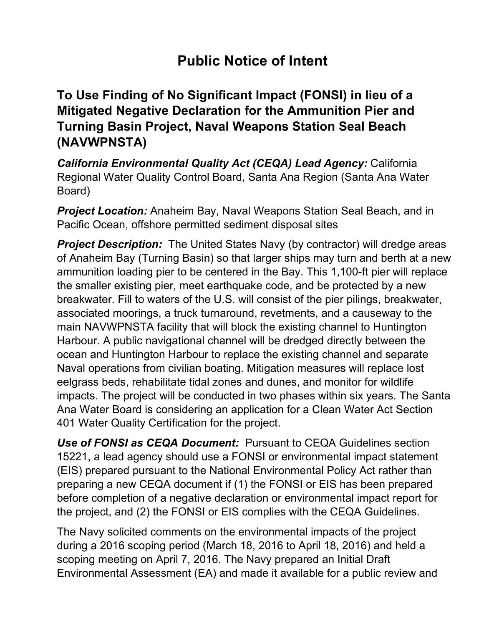## **Public Notice of Intent**

## **To Use Finding of No Significant Impact (FONSI) in lieu of a Mitigated Negative Declaration for the Ammunition Pier and Turning Basin Project, Naval Weapons Station Seal Beach (NAVWPNSTA)**

*California Environmental Quality Act (CEQA) Lead Agency:* California Regional Water Quality Control Board, Santa Ana Region (Santa Ana Water Board)

*Project Location:* Anaheim Bay, Naval Weapons Station Seal Beach, and in Pacific Ocean, offshore permitted sediment disposal sites

**Project Description:** The United States Navy (by contractor) will dredge areas of Anaheim Bay (Turning Basin) so that larger ships may turn and berth at a new ammunition loading pier to be centered in the Bay. This 1,100-ft pier will replace the smaller existing pier, meet earthquake code, and be protected by a new breakwater. Fill to waters of the U.S. will consist of the pier pilings, breakwater, associated moorings, a truck turnaround, revetments, and a causeway to the main NAVWPNSTA facility that will block the existing channel to Huntington Harbour. A public navigational channel will be dredged directly between the ocean and Huntington Harbour to replace the existing channel and separate Naval operations from civilian boating. Mitigation measures will replace lost eelgrass beds, rehabilitate tidal zones and dunes, and monitor for wildlife impacts. The project will be conducted in two phases within six years. The Santa Ana Water Board is considering an application for a Clean Water Act Section 401 Water Quality Certification for the project.

*Use of FONSI as CEQA Document:* Pursuant to CEQA Guidelines section 15221, a lead agency should use a FONSI or environmental impact statement (EIS) prepared pursuant to the National Environmental Policy Act rather than preparing a new CEQA document if (1) the FONSI or EIS has been prepared before completion of a negative declaration or environmental impact report for the project, and (2) the FONSI or EIS complies with the CEQA Guidelines.

The Navy solicited comments on the environmental impacts of the project during a 2016 scoping period (March 18, 2016 to April 18, 2016) and held a scoping meeting on April 7, 2016. The Navy prepared an Initial Draft Environmental Assessment (EA) and made it available for a public review and